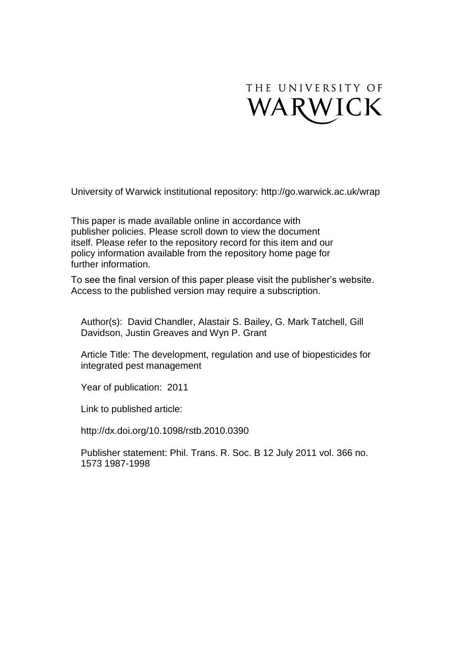

University of Warwick institutional repository:<http://go.warwick.ac.uk/wrap>

This paper is made available online in accordance with publisher policies. Please scroll down to view the document itself. Please refer to the repository record for this item and our policy information available from the repository home page for further information.

To see the final version of this paper please visit the publisher's website. Access to the published version may require a subscription.

Author(s): David Chandler, Alastair S. Bailey, G. Mark Tatchell, Gill Davidson, Justin Greaves and Wyn P. Grant

Article Title: The development, regulation and use of biopesticides for integrated pest management

Year of publication: 2011

Link to published article:

http://dx.doi.org/10.1098/rstb.2010.0390

Publisher statement: Phil. Trans. R. Soc. B 12 July 2011 vol. 366 no. 1573 1987-1998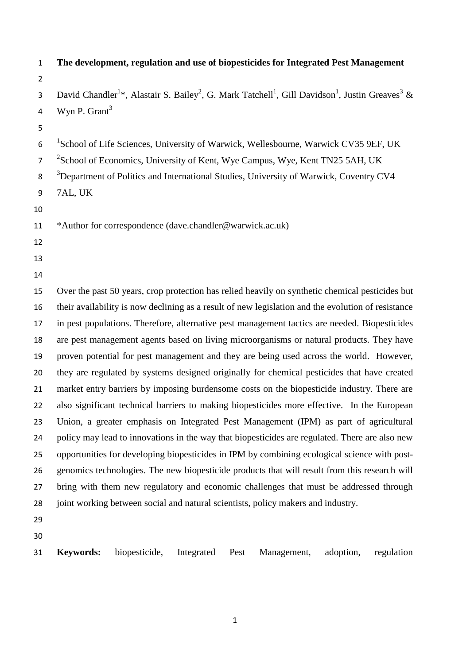| $\mathbf{1}$   | The development, regulation and use of biopesticides for Integrated Pest Management                                                                         |  |  |  |  |  |  |
|----------------|-------------------------------------------------------------------------------------------------------------------------------------------------------------|--|--|--|--|--|--|
| $\overline{2}$ |                                                                                                                                                             |  |  |  |  |  |  |
| 3              | David Chandler <sup>1*</sup> , Alastair S. Bailey <sup>2</sup> , G. Mark Tatchell <sup>1</sup> , Gill Davidson <sup>1</sup> , Justin Greaves <sup>3</sup> & |  |  |  |  |  |  |
| 4              | Wyn P. Grant <sup>3</sup>                                                                                                                                   |  |  |  |  |  |  |
| 5              |                                                                                                                                                             |  |  |  |  |  |  |
| 6              | <sup>1</sup> School of Life Sciences, University of Warwick, Wellesbourne, Warwick CV35 9EF, UK                                                             |  |  |  |  |  |  |
| $\overline{7}$ | <sup>2</sup> School of Economics, University of Kent, Wye Campus, Wye, Kent TN25 5AH, UK                                                                    |  |  |  |  |  |  |
| 8              | <sup>3</sup> Department of Politics and International Studies, University of Warwick, Coventry CV4                                                          |  |  |  |  |  |  |
| 9              | 7AL, UK                                                                                                                                                     |  |  |  |  |  |  |
| 10             |                                                                                                                                                             |  |  |  |  |  |  |
| 11             | *Author for correspondence (dave.chandler@warwick.ac.uk)                                                                                                    |  |  |  |  |  |  |
| 12             |                                                                                                                                                             |  |  |  |  |  |  |
| 13             |                                                                                                                                                             |  |  |  |  |  |  |
| 14             |                                                                                                                                                             |  |  |  |  |  |  |
| 15             | Over the past 50 years, crop protection has relied heavily on synthetic chemical pesticides but                                                             |  |  |  |  |  |  |
| 16             | their availability is now declining as a result of new legislation and the evolution of resistance                                                          |  |  |  |  |  |  |
| 17             | in pest populations. Therefore, alternative pest management tactics are needed. Biopesticides                                                               |  |  |  |  |  |  |
| 18             | are pest management agents based on living microorganisms or natural products. They have                                                                    |  |  |  |  |  |  |
| 19             | proven potential for pest management and they are being used across the world. However,                                                                     |  |  |  |  |  |  |
| 20             | they are regulated by systems designed originally for chemical pesticides that have created                                                                 |  |  |  |  |  |  |
| 21             | market entry barriers by imposing burdensome costs on the biopesticide industry. There are                                                                  |  |  |  |  |  |  |
| 22             | also significant technical barriers to making biopesticides more effective. In the European                                                                 |  |  |  |  |  |  |
| 23             | Union, a greater emphasis on Integrated Pest Management (IPM) as part of agricultural                                                                       |  |  |  |  |  |  |
| 24             | policy may lead to innovations in the way that biopesticides are regulated. There are also new                                                              |  |  |  |  |  |  |
| 25             | opportunities for developing biopesticides in IPM by combining ecological science with post-                                                                |  |  |  |  |  |  |
| 26             | genomics technologies. The new biopesticide products that will result from this research will                                                               |  |  |  |  |  |  |
| 27             | bring with them new regulatory and economic challenges that must be addressed through                                                                       |  |  |  |  |  |  |
| 28             | joint working between social and natural scientists, policy makers and industry.                                                                            |  |  |  |  |  |  |
| 29             |                                                                                                                                                             |  |  |  |  |  |  |
| 30             |                                                                                                                                                             |  |  |  |  |  |  |
| 31             | <b>Keywords:</b><br>biopesticide,<br>Integrated<br>adoption,<br>Pest<br>Management,<br>regulation                                                           |  |  |  |  |  |  |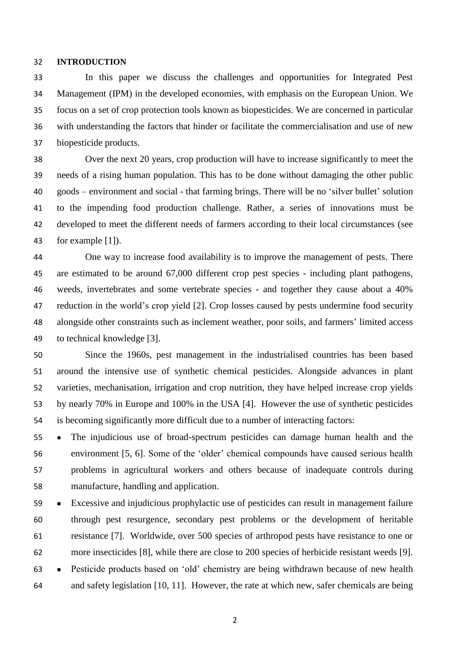### **INTRODUCTION**

 In this paper we discuss the challenges and opportunities for Integrated Pest Management (IPM) in the developed economies, with emphasis on the European Union. We focus on a set of crop protection tools known as biopesticides. We are concerned in particular with understanding the factors that hinder or facilitate the commercialisation and use of new biopesticide products.

 Over the next 20 years, crop production will have to increase significantly to meet the needs of a rising human population. This has to be done without damaging the other public goods – environment and social - that farming brings. There will be no "silver bullet" solution to the impending food production challenge. Rather, a series of innovations must be developed to meet the different needs of farmers according to their local circumstances (see for example [1]).

 One way to increase food availability is to improve the management of pests. There are estimated to be around 67,000 different crop pest species - including plant pathogens, weeds, invertebrates and some vertebrate species - and together they cause about a 40% reduction in the world"s crop yield [2]. Crop losses caused by pests undermine food security alongside other constraints such as inclement weather, poor soils, and farmers" limited access to technical knowledge [3].

 Since the 1960s, pest management in the industrialised countries has been based around the intensive use of synthetic chemical pesticides. Alongside advances in plant varieties, mechanisation, irrigation and crop nutrition, they have helped increase crop yields by nearly 70% in Europe and 100% in the USA [4]. However the use of synthetic pesticides is becoming significantly more difficult due to a number of interacting factors:

 The injudicious use of broad-spectrum pesticides can damage human health and the environment [5, 6]. Some of the "older" chemical compounds have caused serious health problems in agricultural workers and others because of inadequate controls during manufacture, handling and application.

 Excessive and injudicious prophylactic use of pesticides can result in management failure through pest resurgence, secondary pest problems or the development of heritable resistance [7]. Worldwide, over 500 species of arthropod pests have resistance to one or more insecticides [8], while there are close to 200 species of herbicide resistant weeds [9]. Pesticide products based on "old" chemistry are being withdrawn because of new health and safety legislation [10, 11]. However, the rate at which new, safer chemicals are being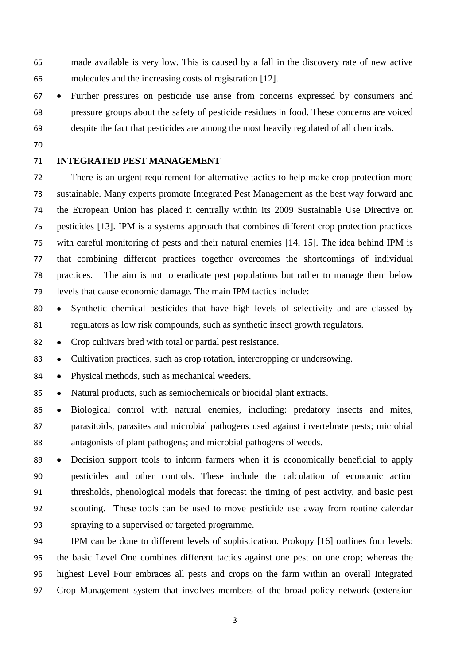made available is very low. This is caused by a fall in the discovery rate of new active molecules and the increasing costs of registration [12].

- Further pressures on pesticide use arise from concerns expressed by consumers and pressure groups about the safety of pesticide residues in food. These concerns are voiced despite the fact that pesticides are among the most heavily regulated of all chemicals.
- 

# **INTEGRATED PEST MANAGEMENT**

 There is an urgent requirement for alternative tactics to help make crop protection more sustainable. Many experts promote Integrated Pest Management as the best way forward and the European Union has placed it centrally within its 2009 Sustainable Use Directive on pesticides [13]. IPM is a systems approach that combines different crop protection practices with careful monitoring of pests and their natural enemies [14, 15]. The idea behind IPM is that combining different practices together overcomes the shortcomings of individual practices. The aim is not to eradicate pest populations but rather to manage them below levels that cause economic damage. The main IPM tactics include:

- 80 Synthetic chemical pesticides that have high levels of selectivity and are classed by regulators as low risk compounds, such as synthetic insect growth regulators.
- 82 Crop cultivars bred with total or partial pest resistance.

Cultivation practices, such as crop rotation, intercropping or undersowing.

- Physical methods, such as mechanical weeders.
- 85 Natural products, such as semiochemicals or biocidal plant extracts.
- Biological control with natural enemies, including: predatory insects and mites, parasitoids, parasites and microbial pathogens used against invertebrate pests; microbial antagonists of plant pathogens; and microbial pathogens of weeds.

 Decision support tools to inform farmers when it is economically beneficial to apply pesticides and other controls. These include the calculation of economic action thresholds, phenological models that forecast the timing of pest activity, and basic pest scouting. These tools can be used to move pesticide use away from routine calendar spraying to a supervised or targeted programme.

 IPM can be done to different levels of sophistication. Prokopy [16] outlines four levels: the basic Level One combines different tactics against one pest on one crop; whereas the highest Level Four embraces all pests and crops on the farm within an overall Integrated Crop Management system that involves members of the broad policy network (extension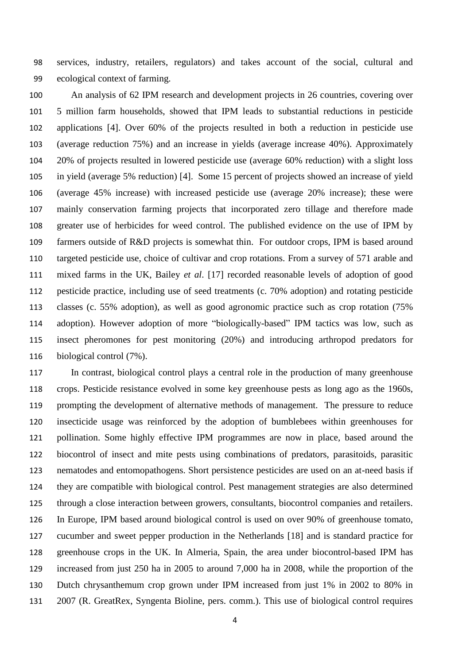services, industry, retailers, regulators) and takes account of the social, cultural and ecological context of farming.

 An analysis of 62 IPM research and development projects in 26 countries, covering over 5 million farm households, showed that IPM leads to substantial reductions in pesticide applications [4]. Over 60% of the projects resulted in both a reduction in pesticide use (average reduction 75%) and an increase in yields (average increase 40%). Approximately 20% of projects resulted in lowered pesticide use (average 60% reduction) with a slight loss in yield (average 5% reduction) [4]. Some 15 percent of projects showed an increase of yield (average 45% increase) with increased pesticide use (average 20% increase); these were mainly conservation farming projects that incorporated zero tillage and therefore made greater use of herbicides for weed control. The published evidence on the use of IPM by farmers outside of R&D projects is somewhat thin. For outdoor crops, IPM is based around targeted pesticide use, choice of cultivar and crop rotations. From a survey of 571 arable and mixed farms in the UK, Bailey *et al*. [17] recorded reasonable levels of adoption of good pesticide practice, including use of seed treatments (c. 70% adoption) and rotating pesticide classes (c. 55% adoption), as well as good agronomic practice such as crop rotation (75% adoption). However adoption of more "biologically-based" IPM tactics was low, such as insect pheromones for pest monitoring (20%) and introducing arthropod predators for biological control (7%).

 In contrast, biological control plays a central role in the production of many greenhouse crops. Pesticide resistance evolved in some key greenhouse pests as long ago as the 1960s, prompting the development of alternative methods of management. The pressure to reduce insecticide usage was reinforced by the adoption of bumblebees within greenhouses for pollination. Some highly effective IPM programmes are now in place, based around the biocontrol of insect and mite pests using combinations of predators, parasitoids, parasitic nematodes and entomopathogens. Short persistence pesticides are used on an at-need basis if they are compatible with biological control. Pest management strategies are also determined through a close interaction between growers, consultants, biocontrol companies and retailers. In Europe, IPM based around biological control is used on over 90% of greenhouse tomato, cucumber and sweet pepper production in the Netherlands [18] and is standard practice for greenhouse crops in the UK. In Almeria, Spain, the area under biocontrol-based IPM has increased from just 250 ha in 2005 to around 7,000 ha in 2008, while the proportion of the Dutch chrysanthemum crop grown under IPM increased from just 1% in 2002 to 80% in 2007 (R. GreatRex, Syngenta Bioline, pers. comm.). This use of biological control requires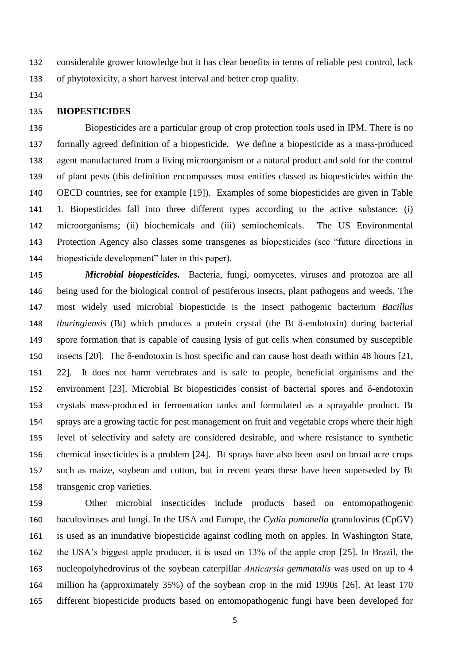considerable grower knowledge but it has clear benefits in terms of reliable pest control, lack of phytotoxicity, a short harvest interval and better crop quality.

## **BIOPESTICIDES**

 Biopesticides are a particular group of crop protection tools used in IPM. There is no formally agreed definition of a biopesticide. We define a biopesticide as a mass-produced agent manufactured from a living microorganism or a natural product and sold for the control of plant pests (this definition encompasses most entities classed as biopesticides within the OECD countries, see for example [19]). Examples of some biopesticides are given in Table 1. Biopesticides fall into three different types according to the active substance: (i) microorganisms; (ii) biochemicals and (iii) semiochemicals. The US Environmental Protection Agency also classes some transgenes as biopesticides (see "future directions in biopesticide development" later in this paper).

 *Microbial biopesticides.* Bacteria, fungi, oomycetes, viruses and protozoa are all being used for the biological control of pestiferous insects, plant pathogens and weeds. The most widely used microbial biopesticide is the insect pathogenic bacterium *Bacillus thuringiensis* (Bt) which produces a protein crystal (the Bt δ-endotoxin) during bacterial spore formation that is capable of causing lysis of gut cells when consumed by susceptible 150 insects [20]. The  $\delta$ -endotoxin is host specific and can cause host death within 48 hours [21, 22]. It does not harm vertebrates and is safe to people, beneficial organisms and the environment [23]. Microbial Bt biopesticides consist of bacterial spores and δ-endotoxin crystals mass-produced in fermentation tanks and formulated as a sprayable product. Bt sprays are a growing tactic for pest management on fruit and vegetable crops where their high level of selectivity and safety are considered desirable, and where resistance to synthetic chemical insecticides is a problem [24]. Bt sprays have also been used on broad acre crops such as maize, soybean and cotton, but in recent years these have been superseded by Bt transgenic crop varieties.

 Other microbial insecticides include products based on entomopathogenic baculoviruses and fungi. In the USA and Europe, the *Cydia pomonella* granulovirus (CpGV) is used as an inundative biopesticide against codling moth on apples. In Washington State, the USA"s biggest apple producer, it is used on 13% of the apple crop [25]. In Brazil, the nucleopolyhedrovirus of the soybean caterpillar *Anticarsia gemmatalis* was used on up to 4 million ha (approximately 35%) of the soybean crop in the mid 1990s [26]. At least 170 different biopesticide products based on entomopathogenic fungi have been developed for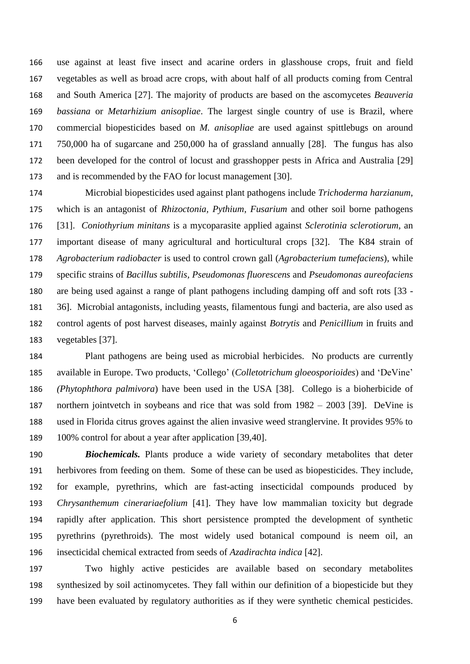use against at least five insect and acarine orders in glasshouse crops, fruit and field vegetables as well as broad acre crops, with about half of all products coming from Central and South America [27]. The majority of products are based on the ascomycetes *Beauveria bassiana* or *Metarhizium anisopliae*. The largest single country of use is Brazil, where commercial biopesticides based on *M. anisopliae* are used against spittlebugs on around 750,000 ha of sugarcane and 250,000 ha of grassland annually [28]. The fungus has also been developed for the control of locust and grasshopper pests in Africa and Australia [29] and is recommended by the FAO for locust management [30].

 Microbial biopesticides used against plant pathogens include *Trichoderma harzianum*, which is an antagonist of *Rhizoctonia, Pythium*, *Fusarium* and other soil borne pathogens [31]. *Coniothyrium minitans* is a mycoparasite applied against *Sclerotinia sclerotiorum*, an important disease of many agricultural and horticultural crops [32]. The K84 strain of *Agrobacterium radiobacter* is used to control crown gall (*Agrobacterium tumefaciens*), while specific strains of *Bacillus subtilis, Pseudomonas fluorescens* and *Pseudomonas aureofaciens* are being used against a range of plant pathogens including damping off and soft rots [33 - 36]. Microbial antagonists, including yeasts, filamentous fungi and bacteria, are also used as control agents of post harvest diseases, mainly against *Botrytis* and *Penicillium* in fruits and vegetables [37].

 Plant pathogens are being used as microbial herbicides. No products are currently available in Europe. Two products, "Collego" (*Colletotrichum gloeosporioides*) and "DeVine" *(Phytophthora palmivora*) have been used in the USA [38]. Collego is a bioherbicide of northern jointvetch in soybeans and rice that was sold from 1982 – 2003 [39]. DeVine is used in Florida citrus groves against the alien invasive weed stranglervine. It provides 95% to 100% control for about a year after application [39,40].

 *Biochemicals.* Plants produce a wide variety of secondary metabolites that deter herbivores from feeding on them. Some of these can be used as biopesticides. They include, for example, pyrethrins, which are fast-acting insecticidal compounds produced by *Chrysanthemum cinerariaefolium* [41]. They have low mammalian toxicity but degrade rapidly after application. This short persistence prompted the development of synthetic pyrethrins (pyrethroids). The most widely used botanical compound is neem oil, an insecticidal chemical extracted from seeds of *Azadirachta indica* [42].

 Two highly active pesticides are available based on secondary metabolites synthesized by soil actinomycetes. They fall within our definition of a biopesticide but they have been evaluated by regulatory authorities as if they were synthetic chemical pesticides.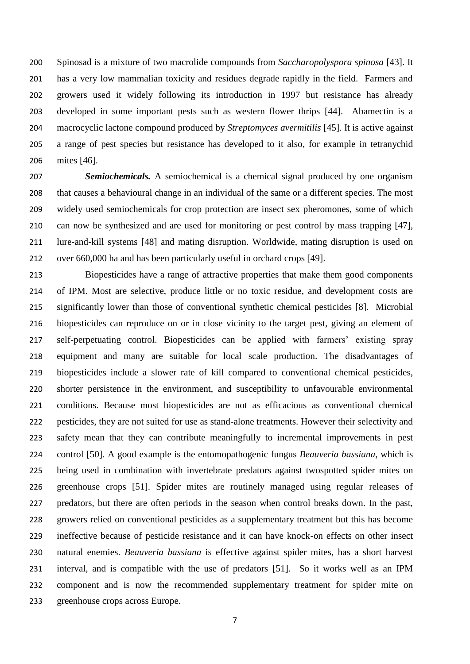Spinosad is a mixture of two macrolide compounds from *Saccharopolyspora spinosa* [43]. It has a very low mammalian toxicity and residues degrade rapidly in the field. Farmers and growers used it widely following its introduction in 1997 but resistance has already developed in some important pests such as western flower thrips [44]. Abamectin is a macrocyclic lactone compound produced by *Streptomyces avermitilis* [45]. It is active against a range of pest species but resistance has developed to it also, for example in tetranychid mites [46].

 *Semiochemicals.* A semiochemical is a chemical signal produced by one organism that causes a behavioural change in an individual of the same or a different species. The most widely used semiochemicals for crop protection are insect sex pheromones, some of which can now be synthesized and are used for monitoring or pest control by mass trapping [47], lure-and-kill systems [48] and mating disruption. Worldwide, mating disruption is used on over 660,000 ha and has been particularly useful in orchard crops [49].

 Biopesticides have a range of attractive properties that make them good components of IPM. Most are selective, produce little or no toxic residue, and development costs are significantly lower than those of conventional synthetic chemical pesticides [8]. Microbial biopesticides can reproduce on or in close vicinity to the target pest, giving an element of 217 self-perpetuating control. Biopesticides can be applied with farmers' existing spray equipment and many are suitable for local scale production. The disadvantages of biopesticides include a slower rate of kill compared to conventional chemical pesticides, shorter persistence in the environment, and susceptibility to unfavourable environmental conditions. Because most biopesticides are not as efficacious as conventional chemical pesticides, they are not suited for use as stand-alone treatments. However their selectivity and safety mean that they can contribute meaningfully to incremental improvements in pest control [50]. A good example is the entomopathogenic fungus *Beauveria bassiana*, which is being used in combination with invertebrate predators against twospotted spider mites on greenhouse crops [51]. Spider mites are routinely managed using regular releases of predators, but there are often periods in the season when control breaks down. In the past, growers relied on conventional pesticides as a supplementary treatment but this has become ineffective because of pesticide resistance and it can have knock-on effects on other insect natural enemies. *Beauveria bassiana* is effective against spider mites, has a short harvest interval, and is compatible with the use of predators [51]. So it works well as an IPM component and is now the recommended supplementary treatment for spider mite on greenhouse crops across Europe.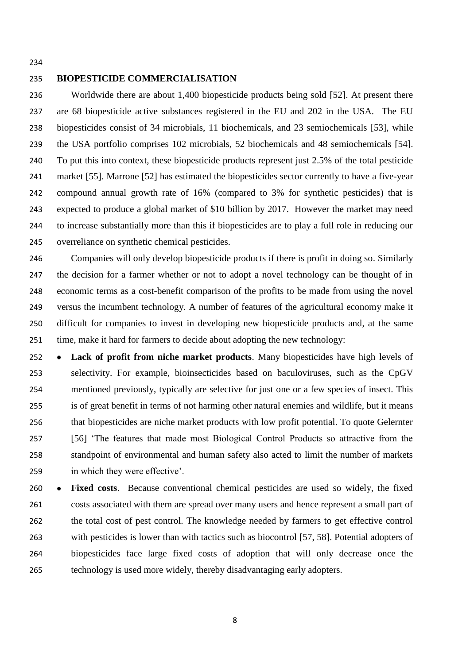## **BIOPESTICIDE COMMERCIALISATION**

 Worldwide there are about 1,400 biopesticide products being sold [52]. At present there are 68 biopesticide active substances registered in the EU and 202 in the USA. The EU biopesticides consist of 34 microbials, 11 biochemicals, and 23 semiochemicals [53], while the USA portfolio comprises 102 microbials, 52 biochemicals and 48 semiochemicals [54]. To put this into context, these biopesticide products represent just 2.5% of the total pesticide market [55]. Marrone [52] has estimated the biopesticides sector currently to have a five-year compound annual growth rate of 16% (compared to 3% for synthetic pesticides) that is expected to produce a global market of \$10 billion by 2017. However the market may need to increase substantially more than this if biopesticides are to play a full role in reducing our overreliance on synthetic chemical pesticides.

 Companies will only develop biopesticide products if there is profit in doing so. Similarly the decision for a farmer whether or not to adopt a novel technology can be thought of in economic terms as a cost-benefit comparison of the profits to be made from using the novel versus the incumbent technology. A number of features of the agricultural economy make it difficult for companies to invest in developing new biopesticide products and, at the same time, make it hard for farmers to decide about adopting the new technology:

 **Lack of profit from niche market products**. Many biopesticides have high levels of selectivity. For example, bioinsecticides based on baculoviruses, such as the CpGV mentioned previously, typically are selective for just one or a few species of insect. This is of great benefit in terms of not harming other natural enemies and wildlife, but it means that biopesticides are niche market products with low profit potential. To quote Gelernter [56] "The features that made most Biological Control Products so attractive from the standpoint of environmental and human safety also acted to limit the number of markets in which they were effective".

 **Fixed costs**. Because conventional chemical pesticides are used so widely, the fixed costs associated with them are spread over many users and hence represent a small part of the total cost of pest control. The knowledge needed by farmers to get effective control with pesticides is lower than with tactics such as biocontrol [57, 58]. Potential adopters of biopesticides face large fixed costs of adoption that will only decrease once the technology is used more widely, thereby disadvantaging early adopters.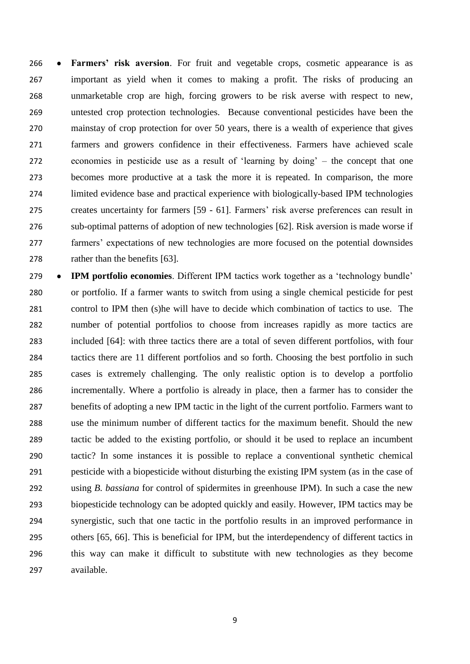**Farmers' risk aversion**. For fruit and vegetable crops, cosmetic appearance is as important as yield when it comes to making a profit. The risks of producing an unmarketable crop are high, forcing growers to be risk averse with respect to new, untested crop protection technologies. Because conventional pesticides have been the mainstay of crop protection for over 50 years, there is a wealth of experience that gives farmers and growers confidence in their effectiveness. Farmers have achieved scale economies in pesticide use as a result of "learning by doing" – the concept that one becomes more productive at a task the more it is repeated. In comparison, the more limited evidence base and practical experience with biologically-based IPM technologies creates uncertainty for farmers [59 - 61]. Farmers" risk averse preferences can result in sub-optimal patterns of adoption of new technologies [62]. Risk aversion is made worse if farmers" expectations of new technologies are more focused on the potential downsides 278 rather than the benefits [63].

 **IPM portfolio economies**. Different IPM tactics work together as a "technology bundle" or portfolio. If a farmer wants to switch from using a single chemical pesticide for pest control to IPM then (s)he will have to decide which combination of tactics to use. The number of potential portfolios to choose from increases rapidly as more tactics are included [64]: with three tactics there are a total of seven different portfolios, with four tactics there are 11 different portfolios and so forth. Choosing the best portfolio in such cases is extremely challenging. The only realistic option is to develop a portfolio incrementally. Where a portfolio is already in place, then a farmer has to consider the benefits of adopting a new IPM tactic in the light of the current portfolio. Farmers want to use the minimum number of different tactics for the maximum benefit. Should the new tactic be added to the existing portfolio, or should it be used to replace an incumbent tactic? In some instances it is possible to replace a conventional synthetic chemical pesticide with a biopesticide without disturbing the existing IPM system (as in the case of using *B. bassiana* for control of spidermites in greenhouse IPM). In such a case the new biopesticide technology can be adopted quickly and easily. However, IPM tactics may be synergistic, such that one tactic in the portfolio results in an improved performance in others [65, 66]. This is beneficial for IPM, but the interdependency of different tactics in this way can make it difficult to substitute with new technologies as they become available.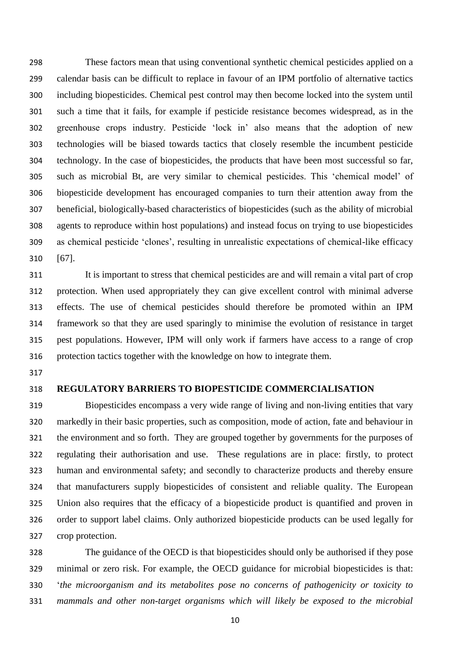These factors mean that using conventional synthetic chemical pesticides applied on a calendar basis can be difficult to replace in favour of an IPM portfolio of alternative tactics including biopesticides. Chemical pest control may then become locked into the system until such a time that it fails, for example if pesticide resistance becomes widespread, as in the greenhouse crops industry. Pesticide "lock in" also means that the adoption of new technologies will be biased towards tactics that closely resemble the incumbent pesticide technology. In the case of biopesticides, the products that have been most successful so far, such as microbial Bt, are very similar to chemical pesticides. This "chemical model" of biopesticide development has encouraged companies to turn their attention away from the beneficial, biologically-based characteristics of biopesticides (such as the ability of microbial agents to reproduce within host populations) and instead focus on trying to use biopesticides as chemical pesticide "clones", resulting in unrealistic expectations of chemical-like efficacy [67].

 It is important to stress that chemical pesticides are and will remain a vital part of crop protection. When used appropriately they can give excellent control with minimal adverse effects. The use of chemical pesticides should therefore be promoted within an IPM framework so that they are used sparingly to minimise the evolution of resistance in target pest populations. However, IPM will only work if farmers have access to a range of crop protection tactics together with the knowledge on how to integrate them.

### **REGULATORY BARRIERS TO BIOPESTICIDE COMMERCIALISATION**

 Biopesticides encompass a very wide range of living and non-living entities that vary markedly in their basic properties, such as composition, mode of action, fate and behaviour in the environment and so forth. They are grouped together by governments for the purposes of regulating their authorisation and use. These regulations are in place: firstly, to protect human and environmental safety; and secondly to characterize products and thereby ensure that manufacturers supply biopesticides of consistent and reliable quality. The European Union also requires that the efficacy of a biopesticide product is quantified and proven in order to support label claims. Only authorized biopesticide products can be used legally for crop protection.

 The guidance of the OECD is that biopesticides should only be authorised if they pose minimal or zero risk. For example, the OECD guidance for microbial biopesticides is that: "*the microorganism and its metabolites pose no concerns of pathogenicity or toxicity to mammals and other non-target organisms which will likely be exposed to the microbial*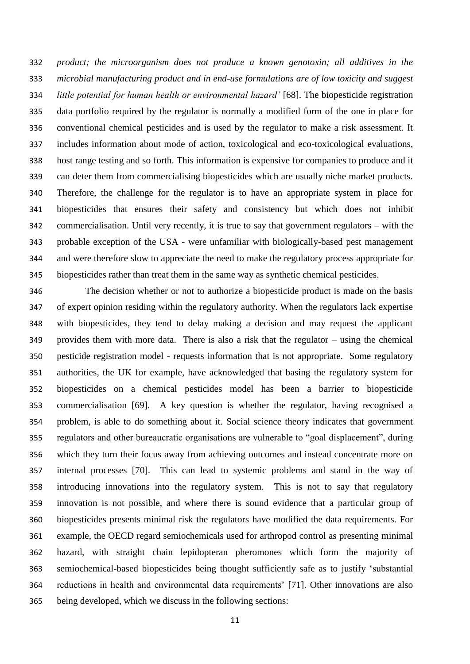*product; the microorganism does not produce a known genotoxin; all additives in the microbial manufacturing product and in end-use formulations are of low toxicity and suggest little potential for human health or environmental hazard'* [68]. The biopesticide registration data portfolio required by the regulator is normally a modified form of the one in place for conventional chemical pesticides and is used by the regulator to make a risk assessment. It includes information about mode of action, toxicological and eco-toxicological evaluations, host range testing and so forth. This information is expensive for companies to produce and it can deter them from commercialising biopesticides which are usually niche market products. Therefore, the challenge for the regulator is to have an appropriate system in place for biopesticides that ensures their safety and consistency but which does not inhibit commercialisation. Until very recently, it is true to say that government regulators – with the probable exception of the USA - were unfamiliar with biologically-based pest management and were therefore slow to appreciate the need to make the regulatory process appropriate for biopesticides rather than treat them in the same way as synthetic chemical pesticides.

 The decision whether or not to authorize a biopesticide product is made on the basis of expert opinion residing within the regulatory authority. When the regulators lack expertise with biopesticides, they tend to delay making a decision and may request the applicant provides them with more data. There is also a risk that the regulator – using the chemical pesticide registration model - requests information that is not appropriate. Some regulatory authorities, the UK for example, have acknowledged that basing the regulatory system for biopesticides on a chemical pesticides model has been a barrier to biopesticide commercialisation [69]. A key question is whether the regulator, having recognised a problem, is able to do something about it. Social science theory indicates that government regulators and other bureaucratic organisations are vulnerable to "goal displacement", during which they turn their focus away from achieving outcomes and instead concentrate more on internal processes [70]. This can lead to systemic problems and stand in the way of introducing innovations into the regulatory system. This is not to say that regulatory innovation is not possible, and where there is sound evidence that a particular group of biopesticides presents minimal risk the regulators have modified the data requirements. For example, the OECD regard semiochemicals used for arthropod control as presenting minimal hazard, with straight chain lepidopteran pheromones which form the majority of semiochemical-based biopesticides being thought sufficiently safe as to justify "substantial reductions in health and environmental data requirements" [71]. Other innovations are also being developed, which we discuss in the following sections: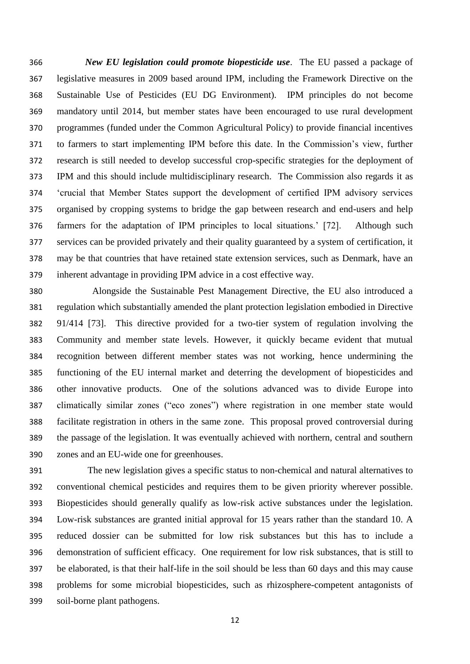*New EU legislation could promote biopesticide use*. The EU passed a package of legislative measures in 2009 based around IPM, including the Framework Directive on the Sustainable Use of Pesticides (EU DG Environment). IPM principles do not become mandatory until 2014, but member states have been encouraged to use rural development programmes (funded under the Common Agricultural Policy) to provide financial incentives to farmers to start implementing IPM before this date. In the Commission"s view, further research is still needed to develop successful crop-specific strategies for the deployment of IPM and this should include multidisciplinary research. The Commission also regards it as "crucial that Member States support the development of certified IPM advisory services organised by cropping systems to bridge the gap between research and end-users and help farmers for the adaptation of IPM principles to local situations." [72]. Although such services can be provided privately and their quality guaranteed by a system of certification, it may be that countries that have retained state extension services, such as Denmark, have an inherent advantage in providing IPM advice in a cost effective way.

 Alongside the Sustainable Pest Management Directive, the EU also introduced a regulation which substantially amended the plant protection legislation embodied in Directive 91/414 [73]. This directive provided for a two-tier system of regulation involving the Community and member state levels. However, it quickly became evident that mutual recognition between different member states was not working, hence undermining the functioning of the EU internal market and deterring the development of biopesticides and other innovative products. One of the solutions advanced was to divide Europe into climatically similar zones ("eco zones") where registration in one member state would facilitate registration in others in the same zone. This proposal proved controversial during the passage of the legislation. It was eventually achieved with northern, central and southern zones and an EU-wide one for greenhouses.

 The new legislation gives a specific status to non-chemical and natural alternatives to conventional chemical pesticides and requires them to be given priority wherever possible. Biopesticides should generally qualify as low-risk active substances under the legislation. Low-risk substances are granted initial approval for 15 years rather than the standard 10. A reduced dossier can be submitted for low risk substances but this has to include a demonstration of sufficient efficacy. One requirement for low risk substances, that is still to be elaborated, is that their half-life in the soil should be less than 60 days and this may cause problems for some microbial biopesticides, such as rhizosphere-competent antagonists of soil-borne plant pathogens.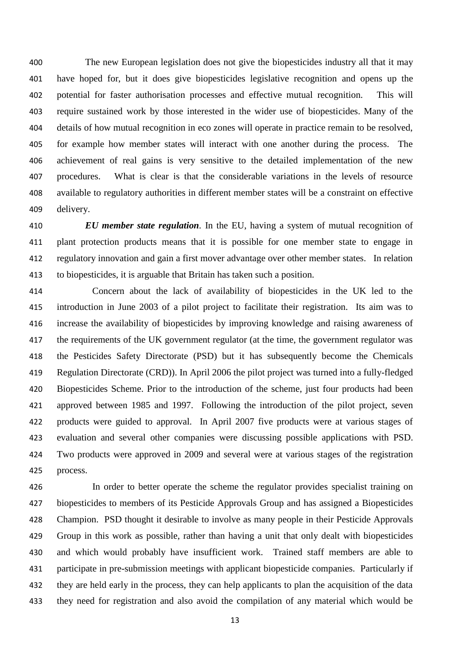The new European legislation does not give the biopesticides industry all that it may have hoped for, but it does give biopesticides legislative recognition and opens up the potential for faster authorisation processes and effective mutual recognition. This will require sustained work by those interested in the wider use of biopesticides. Many of the details of how mutual recognition in eco zones will operate in practice remain to be resolved, for example how member states will interact with one another during the process. The achievement of real gains is very sensitive to the detailed implementation of the new procedures. What is clear is that the considerable variations in the levels of resource available to regulatory authorities in different member states will be a constraint on effective delivery.

 *EU member state regulation.* In the EU, having a system of mutual recognition of plant protection products means that it is possible for one member state to engage in regulatory innovation and gain a first mover advantage over other member states. In relation to biopesticides, it is arguable that Britain has taken such a position.

 Concern about the lack of availability of biopesticides in the UK led to the introduction in June 2003 of a pilot project to facilitate their registration. Its aim was to increase the availability of biopesticides by improving knowledge and raising awareness of 417 the requirements of the UK government regulator (at the time, the government regulator was the Pesticides Safety Directorate (PSD) but it has subsequently become the Chemicals Regulation Directorate (CRD)). In April 2006 the pilot project was turned into a fully-fledged Biopesticides Scheme. Prior to the introduction of the scheme, just four products had been approved between 1985 and 1997. Following the introduction of the pilot project, seven products were guided to approval. In April 2007 five products were at various stages of evaluation and several other companies were discussing possible applications with PSD. Two products were approved in 2009 and several were at various stages of the registration process.

 In order to better operate the scheme the regulator provides specialist training on biopesticides to members of its Pesticide Approvals Group and has assigned a Biopesticides Champion. PSD thought it desirable to involve as many people in their Pesticide Approvals Group in this work as possible, rather than having a unit that only dealt with biopesticides and which would probably have insufficient work. Trained staff members are able to participate in pre-submission meetings with applicant biopesticide companies. Particularly if they are held early in the process, they can help applicants to plan the acquisition of the data they need for registration and also avoid the compilation of any material which would be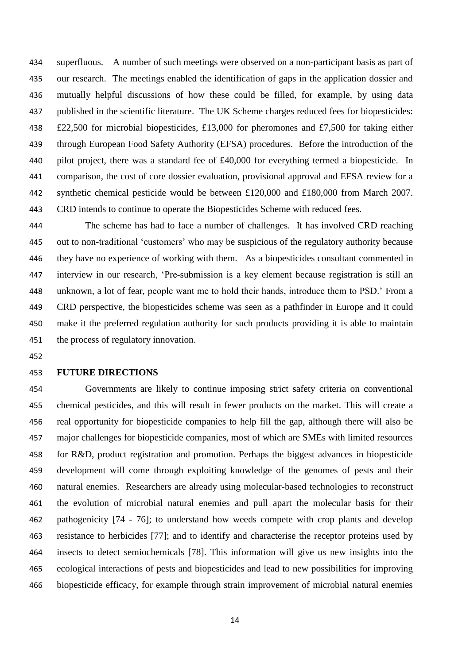superfluous. A number of such meetings were observed on a non-participant basis as part of our research. The meetings enabled the identification of gaps in the application dossier and mutually helpful discussions of how these could be filled, for example, by using data published in the scientific literature. The UK Scheme charges reduced fees for biopesticides: £22,500 for microbial biopesticides, £13,000 for pheromones and £7,500 for taking either through European Food Safety Authority (EFSA) procedures. Before the introduction of the pilot project, there was a standard fee of £40,000 for everything termed a biopesticide. In comparison, the cost of core dossier evaluation, provisional approval and EFSA review for a 442 synthetic chemical pesticide would be between £120,000 and £180,000 from March 2007. CRD intends to continue to operate the Biopesticides Scheme with reduced fees.

 The scheme has had to face a number of challenges. It has involved CRD reaching out to non-traditional "customers" who may be suspicious of the regulatory authority because they have no experience of working with them. As a biopesticides consultant commented in interview in our research, "Pre-submission is a key element because registration is still an unknown, a lot of fear, people want me to hold their hands, introduce them to PSD." From a CRD perspective, the biopesticides scheme was seen as a pathfinder in Europe and it could make it the preferred regulation authority for such products providing it is able to maintain the process of regulatory innovation.

### **FUTURE DIRECTIONS**

 Governments are likely to continue imposing strict safety criteria on conventional chemical pesticides, and this will result in fewer products on the market. This will create a real opportunity for biopesticide companies to help fill the gap, although there will also be major challenges for biopesticide companies, most of which are SMEs with limited resources for R&D, product registration and promotion. Perhaps the biggest advances in biopesticide development will come through exploiting knowledge of the genomes of pests and their natural enemies. Researchers are already using molecular-based technologies to reconstruct the evolution of microbial natural enemies and pull apart the molecular basis for their pathogenicity [74 - 76]; to understand how weeds compete with crop plants and develop resistance to herbicides [77]; and to identify and characterise the receptor proteins used by insects to detect semiochemicals [78]. This information will give us new insights into the ecological interactions of pests and biopesticides and lead to new possibilities for improving biopesticide efficacy, for example through strain improvement of microbial natural enemies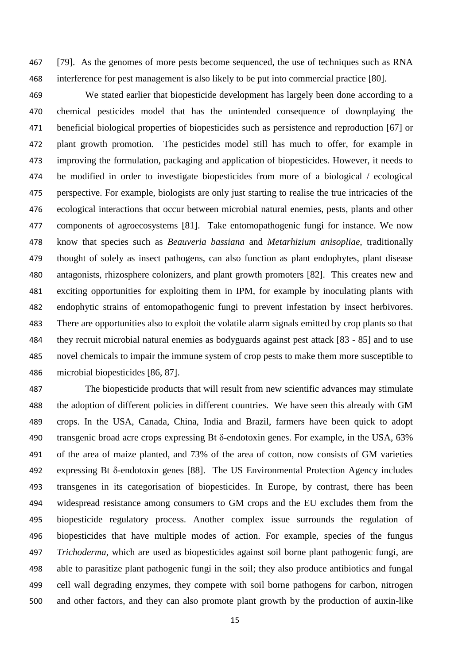[79]. As the genomes of more pests become sequenced, the use of techniques such as RNA interference for pest management is also likely to be put into commercial practice [80].

 We stated earlier that biopesticide development has largely been done according to a chemical pesticides model that has the unintended consequence of downplaying the beneficial biological properties of biopesticides such as persistence and reproduction [67] or plant growth promotion. The pesticides model still has much to offer, for example in improving the formulation, packaging and application of biopesticides. However, it needs to be modified in order to investigate biopesticides from more of a biological / ecological perspective. For example, biologists are only just starting to realise the true intricacies of the ecological interactions that occur between microbial natural enemies, pests, plants and other components of agroecosystems [81]. Take entomopathogenic fungi for instance. We now know that species such as *Beauveria bassiana* and *Metarhizium anisopliae,* traditionally thought of solely as insect pathogens, can also function as plant endophytes, plant disease antagonists, rhizosphere colonizers, and plant growth promoters [82]. This creates new and exciting opportunities for exploiting them in IPM, for example by inoculating plants with endophytic strains of entomopathogenic fungi to prevent infestation by insect herbivores. There are opportunities also to exploit the volatile alarm signals emitted by crop plants so that they recruit microbial natural enemies as bodyguards against pest attack [83 - 85] and to use novel chemicals to impair the immune system of crop pests to make them more susceptible to microbial biopesticides [86, 87].

 The biopesticide products that will result from new scientific advances may stimulate the adoption of different policies in different countries. We have seen this already with GM crops. In the USA, Canada, China, India and Brazil, farmers have been quick to adopt transgenic broad acre crops expressing Bt δ-endotoxin genes. For example, in the USA, 63% of the area of maize planted, and 73% of the area of cotton, now consists of GM varieties expressing Bt δ-endotoxin genes [88]. The US Environmental Protection Agency includes transgenes in its categorisation of biopesticides. In Europe, by contrast, there has been widespread resistance among consumers to GM crops and the EU excludes them from the biopesticide regulatory process. Another complex issue surrounds the regulation of biopesticides that have multiple modes of action. For example, species of the fungus *Trichoderma*, which are used as biopesticides against soil borne plant pathogenic fungi, are able to parasitize plant pathogenic fungi in the soil; they also produce antibiotics and fungal cell wall degrading enzymes, they compete with soil borne pathogens for carbon, nitrogen and other factors, and they can also promote plant growth by the production of auxin-like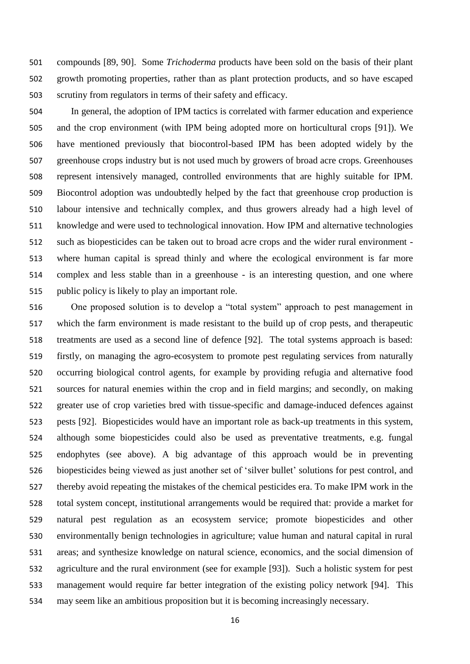compounds [89, 90]. Some *Trichoderma* products have been sold on the basis of their plant growth promoting properties, rather than as plant protection products, and so have escaped scrutiny from regulators in terms of their safety and efficacy.

 In general, the adoption of IPM tactics is correlated with farmer education and experience and the crop environment (with IPM being adopted more on horticultural crops [91]). We have mentioned previously that biocontrol-based IPM has been adopted widely by the greenhouse crops industry but is not used much by growers of broad acre crops. Greenhouses represent intensively managed, controlled environments that are highly suitable for IPM. Biocontrol adoption was undoubtedly helped by the fact that greenhouse crop production is labour intensive and technically complex, and thus growers already had a high level of knowledge and were used to technological innovation. How IPM and alternative technologies such as biopesticides can be taken out to broad acre crops and the wider rural environment - where human capital is spread thinly and where the ecological environment is far more complex and less stable than in a greenhouse - is an interesting question, and one where public policy is likely to play an important role.

 One proposed solution is to develop a "total system" approach to pest management in which the farm environment is made resistant to the build up of crop pests, and therapeutic treatments are used as a second line of defence [92]. The total systems approach is based: firstly, on managing the agro-ecosystem to promote pest regulating services from naturally occurring biological control agents, for example by providing refugia and alternative food sources for natural enemies within the crop and in field margins; and secondly, on making greater use of crop varieties bred with tissue-specific and damage-induced defences against pests [92]. Biopesticides would have an important role as back-up treatments in this system, although some biopesticides could also be used as preventative treatments, e.g. fungal endophytes (see above). A big advantage of this approach would be in preventing biopesticides being viewed as just another set of "silver bullet" solutions for pest control, and thereby avoid repeating the mistakes of the chemical pesticides era. To make IPM work in the total system concept, institutional arrangements would be required that: provide a market for natural pest regulation as an ecosystem service; promote biopesticides and other environmentally benign technologies in agriculture; value human and natural capital in rural areas; and synthesize knowledge on natural science, economics, and the social dimension of agriculture and the rural environment (see for example [93]). Such a holistic system for pest management would require far better integration of the existing policy network [94]. This may seem like an ambitious proposition but it is becoming increasingly necessary.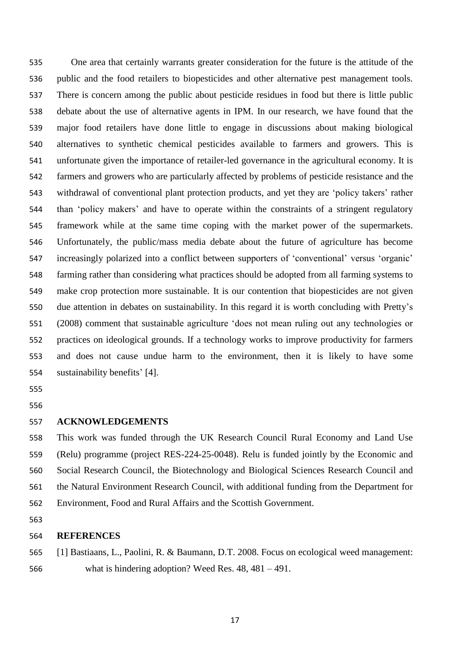One area that certainly warrants greater consideration for the future is the attitude of the public and the food retailers to biopesticides and other alternative pest management tools. There is concern among the public about pesticide residues in food but there is little public debate about the use of alternative agents in IPM. In our research, we have found that the major food retailers have done little to engage in discussions about making biological alternatives to synthetic chemical pesticides available to farmers and growers. This is unfortunate given the importance of retailer-led governance in the agricultural economy. It is farmers and growers who are particularly affected by problems of pesticide resistance and the 543 withdrawal of conventional plant protection products, and yet they are 'policy takers' rather 544 than 'policy makers' and have to operate within the constraints of a stringent regulatory framework while at the same time coping with the market power of the supermarkets. Unfortunately, the public/mass media debate about the future of agriculture has become increasingly polarized into a conflict between supporters of "conventional" versus "organic" farming rather than considering what practices should be adopted from all farming systems to make crop protection more sustainable. It is our contention that biopesticides are not given due attention in debates on sustainability. In this regard it is worth concluding with Pretty"s (2008) comment that sustainable agriculture "does not mean ruling out any technologies or practices on ideological grounds. If a technology works to improve productivity for farmers and does not cause undue harm to the environment, then it is likely to have some 554 sustainability benefits' [4].

 

## **ACKNOWLEDGEMENTS**

 This work was funded through the UK Research Council Rural Economy and Land Use (Relu) programme (project RES-224-25-0048). Relu is funded jointly by the Economic and Social Research Council, the Biotechnology and Biological Sciences Research Council and the Natural Environment Research Council, with additional funding from the Department for Environment, Food and Rural Affairs and the Scottish Government.

### **REFERENCES**

 [1] Bastiaans, L., Paolini, R. & Baumann, D.T. 2008. Focus on ecological weed management: what is hindering adoption? Weed Res. 48, 481 – 491.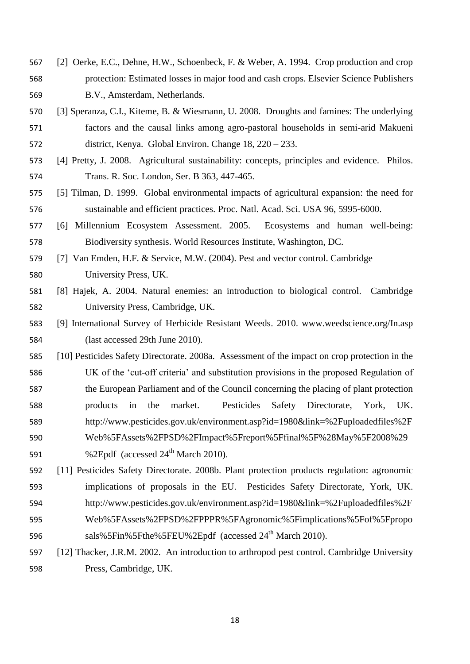- [2] Oerke, E.C., Dehne, H.W., Schoenbeck, F. & Weber, A. 1994. Crop production and crop protection: Estimated losses in major food and cash crops. Elsevier Science Publishers B.V., Amsterdam, Netherlands.
- [3] Speranza, C.I., Kiteme, B. & Wiesmann, U. 2008. Droughts and famines: The underlying factors and the causal links among agro-pastoral households in semi-arid Makueni district, Kenya. Global Environ. Change 18, 220 – 233.
- [4] Pretty, J. 2008. Agricultural sustainability: concepts, principles and evidence. Philos. Trans. R. Soc. London, Ser. B 363, 447-465.
- [5] Tilman, D. 1999. Global environmental impacts of agricultural expansion: the need for sustainable and efficient practices. Proc. Natl. Acad. Sci. USA 96, 5995-6000.
- [6] Millennium Ecosystem Assessment. 2005. Ecosystems and human well-being: Biodiversity synthesis. World Resources Institute, Washington, DC.
- [7] Van Emden, H.F. & Service, M.W. (2004). Pest and vector control. Cambridge

University Press, UK.

- [8] Hajek, A. 2004. Natural enemies: an introduction to biological control. Cambridge University Press, Cambridge, UK.
- [9] International Survey of Herbicide Resistant Weeds. 2010. www.weedscience.org/In.asp (last accessed 29th June 2010).
- [10] Pesticides Safety Directorate. 2008a. Assessment of the impact on crop protection in the UK of the "cut-off criteria" and substitution provisions in the proposed Regulation of the European Parliament and of the Council concerning the placing of plant protection products in the market. Pesticides Safety Directorate, York, UK. http://www.pesticides.gov.uk/environment.asp?id=1980&link=%2Fuploadedfiles%2F Web%5FAssets%2FPSD%2FImpact%5Freport%5Ffinal%5F%28May%5F2008%29
- 591  $\%$  2Epdf (accessed 24<sup>th</sup> March 2010).
- [11] Pesticides Safety Directorate. 2008b. Plant protection products regulation: agronomic implications of proposals in the EU. Pesticides Safety Directorate, York, UK. http://www.pesticides.gov.uk/environment.asp?id=1980&link=%2Fuploadedfiles%2F
- Web%5FAssets%2FPSD%2FPPPR%5FAgronomic%5Fimplications%5Fof%5Fpropo 596 sals%5Fin%5Fthe%5FEU%2Epdf (accessed  $24<sup>th</sup>$  March 2010).
- [12] Thacker, J.R.M. 2002. An introduction to arthropod pest control. Cambridge University Press, Cambridge, UK.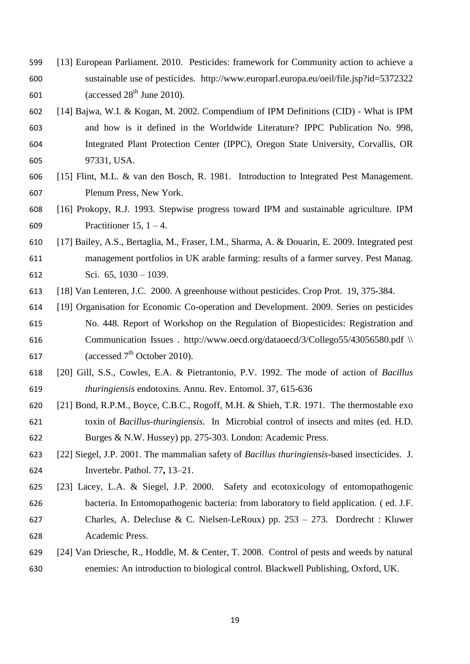- [13] European Parliament. 2010. Pesticides: framework for Community action to achieve a sustainable use of pesticides. http://www.europarl.europa.eu/oeil/file.jsp?id=5372322 (accessed  $28<sup>th</sup>$  June 2010).
- [14] Bajwa, W.I. & Kogan, M. 2002. Compendium of IPM Definitions (CID) What is IPM and how is it defined in the Worldwide Literature? IPPC Publication No. 998, Integrated Plant Protection Center (IPPC), Oregon State University, Corvallis, OR 97331, USA.
- [15] Flint, M.L. & van den Bosch, R. 1981. Introduction to Integrated Pest Management. Plenum Press, New York.
- [16] Prokopy, R.J. 1993. Stepwise progress toward IPM and sustainable agriculture. IPM 609 Practitioner 15,  $1 - 4$ .
- [17] Bailey, A.S., Bertaglia, M., Fraser, I.M., Sharma, A. & Douarin, E. 2009. Integrated pest management portfolios in UK arable farming: results of a farmer survey. Pest Manag. Sci. 65, 1030 – 1039.
- [18] Van Lenteren, J.C. 2000. A greenhouse without pesticides. Crop Prot. 19, 375-384.
- [19] Organisation for Economic Co-operation and Development. 2009. Series on pesticides No. 448. Report of Workshop on the Regulation of Biopesticides: Registration and Communication Issues . http://www.oecd.org/dataoecd/3/Collego55/43056580.pdf \\ 617 (accessed  $7<sup>th</sup>$  October 2010).
- [20] Gill, S.S., Cowles, E.A. & Pietrantonio, P.V. 1992. The mode of action of *Bacillus thuringiensis* endotoxins. Annu. Rev. Entomol. 37, 615-636
- [21] Bond, R.P.M., Boyce, C.B.C., Rogoff, M.H. & Shieh, T.R. 1971. The thermostable exo toxin of *Bacillus-thuringiensis*. In Microbial control of insects and mites (ed. H.D. Burges & N.W. Hussey) pp. 275-303. London: Academic Press.
- [22] Siegel, J.P. 2001. The mammalian safety of *Bacillus thuringiensis*-based insecticides. J. Invertebr. Pathol. 77**,** 13–21.
- [23] Lacey, L.A. & Siegel, J.P. 2000. Safety and ecotoxicology of entomopathogenic bacteria. In Entomopathogenic bacteria: from laboratory to field application. ( ed. J.F. Charles, A. Delecluse & C. Nielsen-LeRoux) pp. 253 – 273. Dordrecht : Kluwer Academic Press.
- [24] Van Driesche, R., Hoddle, M. & Center, T. 2008. Control of pests and weeds by natural enemies: An introduction to biological control. Blackwell Publishing, Oxford, UK.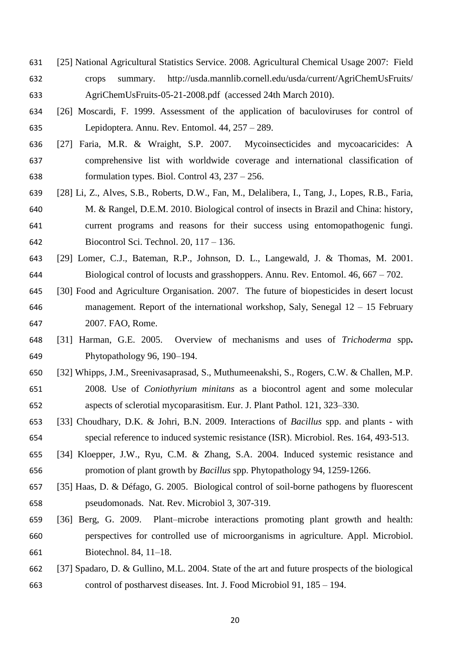- [25] National Agricultural Statistics Service. 2008. Agricultural Chemical Usage 2007: Field crops summary. http://usda.mannlib.cornell.edu/usda/current/AgriChemUsFruits/ AgriChemUsFruits-05-21-2008.pdf (accessed 24th March 2010).
- [26] Moscardi, F. 1999. Assessment of the application of baculoviruses for control of Lepidoptera. Annu. Rev. Entomol. 44, 257 – 289.
- [27] Faria, M.R. & Wraight, S.P. 2007. Mycoinsecticides and mycoacaricides: A comprehensive list with worldwide coverage and international classification of formulation types. Biol. Control 43, 237 – 256.
- [28] Li, Z., Alves, S.B., Roberts, D.W., Fan, M., Delalibera, I., Tang, J., Lopes, R.B., Faria, M. & Rangel, D.E.M. 2010. Biological control of insects in Brazil and China: history, current programs and reasons for their success using entomopathogenic fungi. Biocontrol Sci. Technol. 20, 117 – 136.
- [29] Lomer, C.J., Bateman, R.P., Johnson, D. L., Langewald, J. & Thomas, M. 2001. Biological control of locusts and grasshoppers. Annu. Rev. Entomol. 46, 667 – 702.
- [30] Food and Agriculture Organisation. 2007. The future of biopesticides in desert locust management. Report of the international workshop, Saly, Senegal 12 – 15 February 2007. FAO, Rome.
- [31] Harman, G.E. 2005. Overview of mechanisms and uses of *Trichoderma* spp**.**  Phytopathology 96, 190–194.
- [32] Whipps, J.M., Sreenivasaprasad, S., Muthumeenakshi, S., Rogers, C.W. & Challen, M.P. 2008. Use of *Coniothyrium minitans* as a biocontrol agent and some molecular aspects of sclerotial mycoparasitism. Eur. J. Plant Pathol. 121, 323–330.
- [33] Choudhary, D.K. & Johri, B.N. 2009. Interactions of *Bacillus* spp. and plants with special reference to induced systemic resistance (ISR). Microbiol. Res. 164, 493-513.
- [34] Kloepper, J.W., Ryu, C.M. & Zhang, S.A. 2004. Induced systemic resistance and promotion of plant growth by *Bacillus* spp. Phytopathology 94, 1259-1266.
- [35] Haas, D. & Défago, G. 2005. Biological control of soil-borne pathogens by fluorescent pseudomonads. Nat. Rev. Microbiol 3, 307-319.
- [36] Berg, G. 2009. Plant*–*microbe interactions promoting plant growth and health: perspectives for controlled use of microorganisms in agriculture. Appl. Microbiol. Biotechnol. 84, 11–18.
- [37] Spadaro, D. & Gullino, M.L. 2004. State of the art and future prospects of the biological control of postharvest diseases. Int. J. Food Microbiol 91, 185 – 194.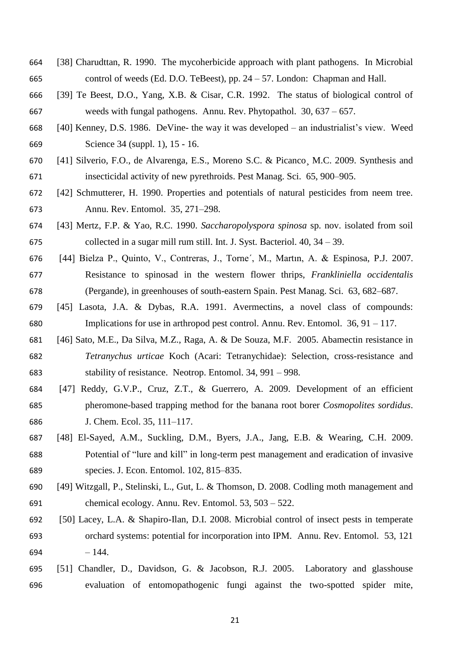- [38] Charudttan, R. 1990. The mycoherbicide approach with plant pathogens. In Microbial control of weeds (Ed. D.O. TeBeest), pp. 24 – 57. London: Chapman and Hall.
- [39] Te Beest, D.O., Yang, X.B. & Cisar, C.R. 1992. The status of biological control of weeds with fungal pathogens. Annu. Rev. Phytopathol. 30, 637 – 657.
- [40] Kenney, D.S. 1986. DeVine- the way it was developed an industrialist"s view. Weed Science 34 (suppl. 1), 15 - 16.
- [41] Silverio, F.O., de Alvarenga, E.S., Moreno S.C. & Picanco¸ M.C. 2009. Synthesis and insecticidal activity of new pyrethroids. Pest Manag. Sci. 65, 900–905.
- [42] Schmutterer, H. 1990. Properties and potentials of natural pesticides from neem tree. Annu. Rev. Entomol. 35, 271–298.
- [43] Mertz, F.P. & Yao, R.C. 1990. *Saccharopolyspora spinosa* sp. nov. isolated from soil collected in a sugar mill rum still. Int. J. Syst. Bacteriol. 40, 34 – 39.
- [44] Bielza P., Quinto, V., Contreras, J., Torne´, M., Martın, A. & Espinosa, P.J. 2007. Resistance to spinosad in the western flower thrips, *Frankliniella occidentalis*  (Pergande), in greenhouses of south-eastern Spain. Pest Manag. Sci. 63, 682–687.
- [45] Lasota, J.A. & Dybas, R.A. 1991. Avermectins, a novel class of compounds: Implications for use in arthropod pest control. Annu. Rev. Entomol. 36, 91 – 117.
- [46] Sato, M.E., Da Silva, M.Z., Raga, A. & De Souza, M.F. 2005. Abamectin resistance in *Tetranychus urticae* Koch (Acari: Tetranychidae): Selection, cross-resistance and stability of resistance. Neotrop. Entomol. 34, 991 – 998.
- [47] Reddy, G.V.P., Cruz, Z.T., & Guerrero, A. 2009. Development of an efficient pheromone-based trapping method for the banana root borer *Cosmopolites sordidus*. J. Chem. Ecol. 35, 111–117.
- [48] El-Sayed, A.M., Suckling, D.M., Byers, J.A., Jang, E.B. & Wearing, C.H. 2009. Potential of "lure and kill" in long-term pest management and eradication of invasive species. J. Econ. Entomol. 102, 815–835.
- [49] Witzgall, P., Stelinski, L., Gut, L. & Thomson, D. 2008. Codling moth management and chemical ecology. Annu. Rev. Entomol. 53, 503 – 522.
- [50] Lacey, L.A. & Shapiro-Ilan, D.I. 2008. Microbial control of insect pests in temperate orchard systems: potential for incorporation into IPM. Annu. Rev. Entomol. 53, 121 694 –  $144.$
- [51] Chandler, D., Davidson, G. & Jacobson, R.J. 2005. Laboratory and glasshouse evaluation of entomopathogenic fungi against the two-spotted spider mite,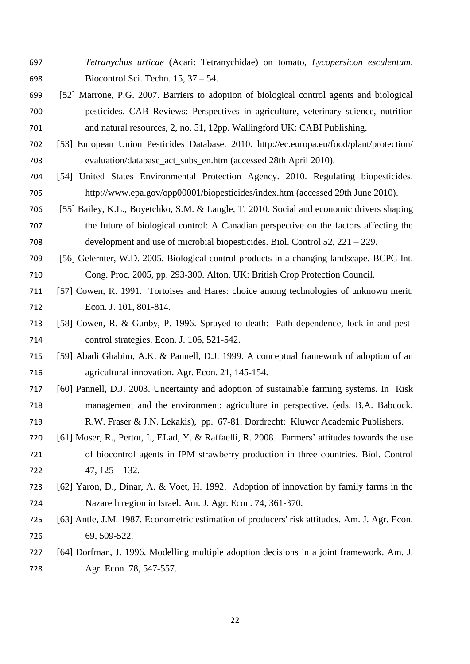*Tetranychus urticae* (Acari: Tetranychidae) on tomato, *Lycopersicon esculentum*. Biocontrol Sci. Techn. 15, 37 – 54.

- [52] Marrone, P.G. 2007. Barriers to adoption of biological control agents and biological pesticides. CAB Reviews: Perspectives in agriculture, veterinary science, nutrition and natural resources, 2, no. 51, 12pp. Wallingford UK: CABI Publishing.
- [53] European Union Pesticides Database. 2010. http://ec.europa.eu/food/plant/protection/ evaluation/database\_act\_subs\_en.htm (accessed 28th April 2010).
- [54] United States Environmental Protection Agency. 2010. Regulating biopesticides. http://www.epa.gov/opp00001/biopesticides/index.htm (accessed 29th June 2010).
- [55] Bailey, K.L., Boyetchko, S.M. & Langle, T. 2010. Social and economic drivers shaping the future of biological control: A Canadian perspective on the factors affecting the development and use of microbial biopesticides. Biol. Control 52, 221 – 229.
- [56] Gelernter, W.D. 2005. Biological control products in a changing landscape. BCPC Int. Cong. Proc. 2005, pp. 293-300. Alton, UK: British Crop Protection Council.
- [57] Cowen, R. 1991. Tortoises and Hares: choice among technologies of unknown merit. Econ. J. 101, 801-814.
- [58] Cowen, R. & Gunby, P. 1996. Sprayed to death: Path dependence, lock-in and pest-control strategies. Econ. J. 106, 521-542.
- [59] Abadi Ghabim, A.K. & Pannell, D.J. 1999. A conceptual framework of adoption of an agricultural innovation. Agr. Econ. 21, 145-154.
- [60] Pannell, D.J. 2003. Uncertainty and adoption of sustainable farming systems. In Risk management and the environment: agriculture in perspective. (eds. B.A. Babcock, R.W. Fraser & J.N. Lekakis), pp. 67-81. Dordrecht: Kluwer Academic Publishers.
- [61] Moser, R., Pertot, I., ELad, Y. & Raffaelli, R. 2008. Farmers" attitudes towards the use of biocontrol agents in IPM strawberry production in three countries. Biol. Control 47,  $125 - 132$ .
- [62] Yaron, D., Dinar, A. & Voet, H. 1992. Adoption of innovation by family farms in the Nazareth region in Israel. Am. J. Agr. Econ. 74, 361-370.
- [63] Antle, J.M. 1987. Econometric estimation of producers' risk attitudes. Am. J. Agr. Econ. 69, 509-522.
- [64] Dorfman, J. 1996. Modelling multiple adoption decisions in a joint framework. Am. J. Agr. Econ. 78, 547-557.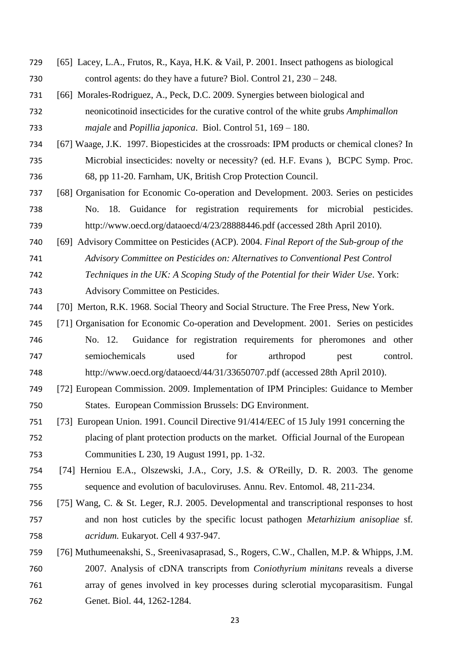- [65] Lacey, L.A., Frutos, R., Kaya, H.K. & Vail, P. 2001. Insect pathogens as biological control agents: do they have a future? Biol. Control 21, 230 – 248.
- [66] Morales-Rodriguez, A., Peck, D.C. 2009. Synergies between biological and
- neonicotinoid insecticides for the curative control of the white grubs *Amphimallon majale* and *Popillia japonica*. Biol. Control 51, 169 – 180.
- [67] Waage, J.K. 1997. Biopesticides at the crossroads: IPM products or chemical clones? In Microbial insecticides: novelty or necessity? (ed. H.F. Evans ), BCPC Symp. Proc. 68, pp 11-20. Farnham, UK, British Crop Protection Council.
- [68] Organisation for Economic Co-operation and Development. 2003. Series on pesticides No. 18. Guidance for registration requirements for microbial pesticides. http://www.oecd.org/dataoecd/4/23/28888446.pdf (accessed 28th April 2010).
- [69] Advisory Committee on Pesticides (ACP). 2004. *Final Report of the Sub-group of the*
- *Advisory Committee on Pesticides on: Alternatives to Conventional Pest Control*
- *Techniques in the UK: A Scoping Study of the Potential for their Wider Use*. York: Advisory Committee on Pesticides.
- [70] Merton, R.K. 1968. Social Theory and Social Structure. The Free Press, New York.
- [71] Organisation for Economic Co-operation and Development. 2001. Series on pesticides No. 12. Guidance for registration requirements for pheromones and other semiochemicals used for arthropod pest control. http://www.oecd.org/dataoecd/44/31/33650707.pdf (accessed 28th April 2010).
- [72] European Commission. 2009. Implementation of IPM Principles: Guidance to Member States. European Commission Brussels: DG Environment.
- [73] European Union. 1991. Council Directive 91/414/EEC of 15 July 1991 concerning the placing of plant protection products on the market. Official Journal of the European Communities L 230, 19 August 1991, pp. 1-32.
- [74] Herniou E.A., Olszewski, J.A., Cory, J.S. & O'Reilly, D. R. 2003. The genome sequence and evolution of baculoviruses. Annu. Rev. Entomol. 48, 211-234.
- [75] Wang, C. & St. Leger, R.J. 2005. Developmental and transcriptional responses to host and non host cuticles by the specific locust pathogen *Metarhizium anisopliae* sf*. acridum.* Eukaryot. Cell 4 937-947.
- [76] Muthumeenakshi, S., Sreenivasaprasad, S., Rogers, C.W., Challen, M.P. & Whipps, J.M. 2007. Analysis of cDNA transcripts from *Coniothyrium minitans* reveals a diverse array of genes involved in key processes during sclerotial mycoparasitism. Fungal Genet. Biol. 44, 1262-1284.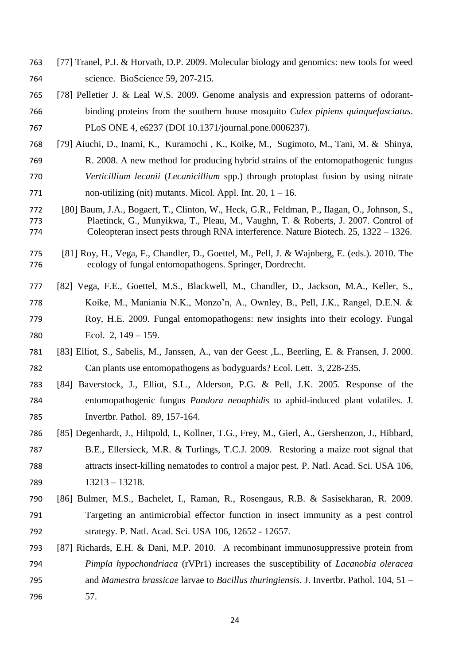- [77] Tranel, P.J. & Horvath, D.P. 2009. Molecular biology and genomics: new tools for weed science. BioScience 59, 207-215.
- [78] Pelletier J. & Leal W.S. 2009. Genome analysis and expression patterns of odorant- binding proteins from the southern house mosquito *Culex pipiens quinquefasciatus*. PLoS ONE 4, e6237 (DOI 10.1371/journal.pone.0006237).
- [79] Aiuchi, D., Inami, K., Kuramochi , K., Koike, M., Sugimoto, M., Tani, M. & Shinya, R. 2008. A new method for producing hybrid strains of the entomopathogenic fungus *Verticillium lecanii* (*Lecanicillium* spp.) through protoplast fusion by using nitrate
- non-utilizing (nit) mutants. Micol. Appl. Int. 20, 1 16.
- [80] Baum, J.A., Bogaert, T., Clinton, W., Heck, G.R., Feldman, P., Ilagan, O., Johnson, S., Plaetinck, G., Munyikwa, T., Pleau, M., Vaughn, T. & Roberts, J. 2007. Control of Coleopteran insect pests through RNA interference. Nature Biotech. 25, 1322 – 1326.
- [81] Roy, H., Vega, F., Chandler, D., Goettel, M., Pell, J. & Wajnberg, E. (eds.). 2010. The ecology of fungal entomopathogens. Springer, Dordrecht.
- [82] Vega, F.E., Goettel, M.S., Blackwell, M., Chandler, D., Jackson, M.A., Keller, S., Koike, M., Maniania N.K., Monzo"n, A., Ownley, B., Pell, J.K., Rangel, D.E.N. & Roy, H.E. 2009. Fungal entomopathogens: new insights into their ecology. Fungal Ecol. 2, 149 – 159.
- [83] Elliot, S., Sabelis, M., Janssen, A., van der Geest ,L., Beerling, E. & Fransen, J. 2000. Can plants use entomopathogens as bodyguards? Ecol. Lett. 3, 228-235.
- [84] Baverstock, J., Elliot, S.L., Alderson, P.G. & Pell, J.K. 2005. Response of the entomopathogenic fungus *Pandora neoaphidis* to aphid-induced plant volatiles. J.
- Invertbr. Pathol. 89, 157-164.
- [85] Degenhardt, J., Hiltpold, I., Kollner, T.G., Frey, M., Gierl, A., Gershenzon, J., Hibbard, B.E., Ellersieck, M.R. & Turlings, T.C.J. 2009. Restoring a maize root signal that attracts insect-killing nematodes to control a major pest. P. Natl. Acad. Sci. USA 106, 13213 – 13218.
- [86] Bulmer, M.S., Bachelet, I., Raman, R., Rosengaus, R.B. & Sasisekharan, R. 2009. Targeting an antimicrobial effector function in insect immunity as a pest control strategy. P. Natl. Acad. Sci. USA 106, 12652 - 12657.
- [87] Richards, E.H. & Dani, M.P. 2010. A recombinant immunosuppressive protein from *Pimpla hypochondriaca* (rVPr1) increases the susceptibility of *Lacanobia oleracea* and *Mamestra brassicae* larvae to *Bacillus thuringiensis*. J. Invertbr. Pathol. 104, 51 – 57.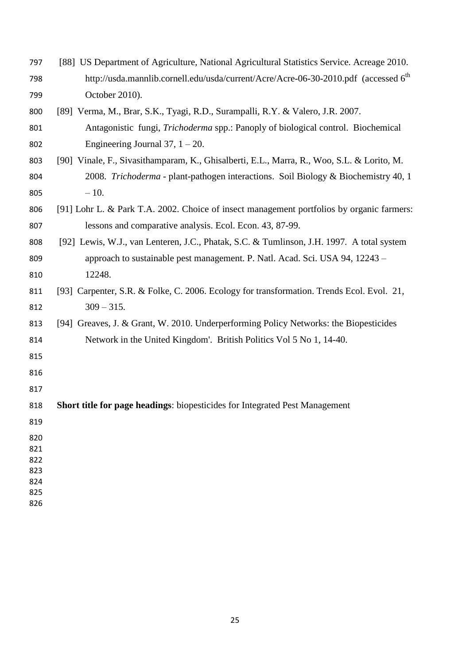| 797        | [88] US Department of Agriculture, National Agricultural Statistics Service. Acreage 2010.        |
|------------|---------------------------------------------------------------------------------------------------|
| 798        | http://usda.mannlib.cornell.edu/usda/current/Acre/Acre-06-30-2010.pdf (accessed 6 <sup>th</sup> ) |
| 799        | October 2010).                                                                                    |
| 800        | [89] Verma, M., Brar, S.K., Tyagi, R.D., Surampalli, R.Y. & Valero, J.R. 2007.                    |
| 801        | Antagonistic fungi, Trichoderma spp.: Panoply of biological control. Biochemical                  |
| 802        | Engineering Journal 37, $1 - 20$ .                                                                |
| 803        | [90] Vinale, F., Sivasithamparam, K., Ghisalberti, E.L., Marra, R., Woo, S.L. & Lorito, M.        |
| 804        | 2008. Trichoderma - plant-pathogen interactions. Soil Biology & Biochemistry 40, 1                |
| 805        | $-10.$                                                                                            |
| 806        | [91] Lohr L. & Park T.A. 2002. Choice of insect management portfolios by organic farmers:         |
| 807        | lessons and comparative analysis. Ecol. Econ. 43, 87-99.                                          |
| 808        | [92] Lewis, W.J., van Lenteren, J.C., Phatak, S.C. & Tumlinson, J.H. 1997. A total system         |
| 809        | approach to sustainable pest management. P. Natl. Acad. Sci. USA 94, 12243 –                      |
| 810        | 12248.                                                                                            |
| 811        | [93] Carpenter, S.R. & Folke, C. 2006. Ecology for transformation. Trends Ecol. Evol. 21,         |
| 812        | $309 - 315$ .                                                                                     |
| 813        | [94] Greaves, J. & Grant, W. 2010. Underperforming Policy Networks: the Biopesticides             |
| 814        | Network in the United Kingdom'. British Politics Vol 5 No 1, 14-40.                               |
| 815        |                                                                                                   |
| 816        |                                                                                                   |
| 817        |                                                                                                   |
| 818        | Short title for page headings: biopesticides for Integrated Pest Management                       |
| 819        |                                                                                                   |
| 820        |                                                                                                   |
| 821<br>822 |                                                                                                   |
| 823        |                                                                                                   |